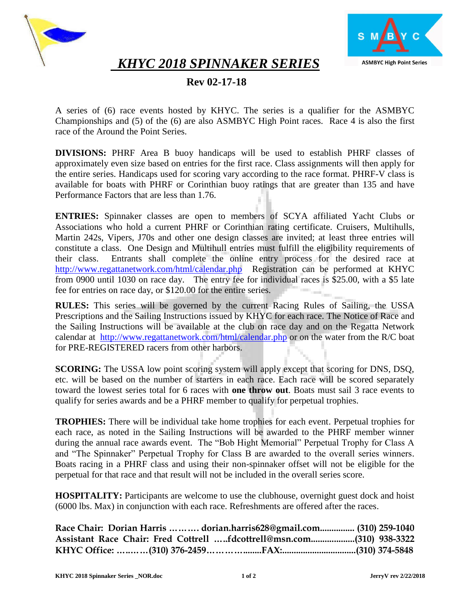



 *KHYC 2018 SPINNAKER SERIES*

# **Rev 02-17-18**

A series of (6) race events hosted by KHYC. The series is a qualifier for the ASMBYC Championships and (5) of the (6) are also ASMBYC High Point races. Race 4 is also the first race of the Around the Point Series.

**DIVISIONS:** PHRF Area B buoy handicaps will be used to establish PHRF classes of approximately even size based on entries for the first race. Class assignments will then apply for the entire series. Handicaps used for scoring vary according to the race format. PHRF-V class is available for boats with PHRF or Corinthian buoy ratings that are greater than 135 and have Performance Factors that are less than 1.76.

**ENTRIES:** Spinnaker classes are open to members of SCYA affiliated Yacht Clubs or Associations who hold a current PHRF or Corinthian rating certificate. Cruisers, Multihulls, Martin 242s, Vipers, J70s and other one design classes are invited; at least three entries will constitute a class. One Design and Multihull entries must fulfill the eligibility requirements of their class. Entrants shall complete the online entry process for the desired race at <http://www.regattanetwork.com/html/calendar.php> Registration can be performed at KHYC from 0900 until 1030 on race day. The entry fee for individual races is \$25.00, with a \$5 late fee for entries on race day, or \$120.00 for the entire series.

**RULES:** This series will be governed by the current Racing Rules of Sailing, the USSA Prescriptions and the Sailing Instructions issued by KHYC for each race. The Notice of Race and the Sailing Instructions will be available at the club on race day and on the Regatta Network calendar at <http://www.regattanetwork.com/html/calendar.php> or on the water from the R/C boat for PRE-REGISTERED racers from other harbors.

**SCORING:** The USSA low point scoring system will apply except that scoring for DNS, DSQ, etc. will be based on the number of starters in each race. Each race will be scored separately toward the lowest series total for 6 races with **one throw out**. Boats must sail 3 race events to qualify for series awards and be a PHRF member to qualify for perpetual trophies.

**TROPHIES:** There will be individual take home trophies for each event. Perpetual trophies for each race, as noted in the Sailing Instructions will be awarded to the PHRF member winner during the annual race awards event. The "Bob Hight Memorial" Perpetual Trophy for Class A and "The Spinnaker" Perpetual Trophy for Class B are awarded to the overall series winners. Boats racing in a PHRF class and using their non-spinnaker offset will not be eligible for the perpetual for that race and that result will not be included in the overall series score.

**HOSPITALITY:** Participants are welcome to use the clubhouse, overnight guest dock and hoist (6000 lbs. Max) in conjunction with each race. Refreshments are offered after the races.

| Race Chair: Dorian Harris    dorian.harris628@gmail.com (310) 259-1040 |  |  |
|------------------------------------------------------------------------|--|--|
| Assistant Race Chair: Fred Cottrell fdcottrell@msn.com(310) 938-3322   |  |  |
|                                                                        |  |  |